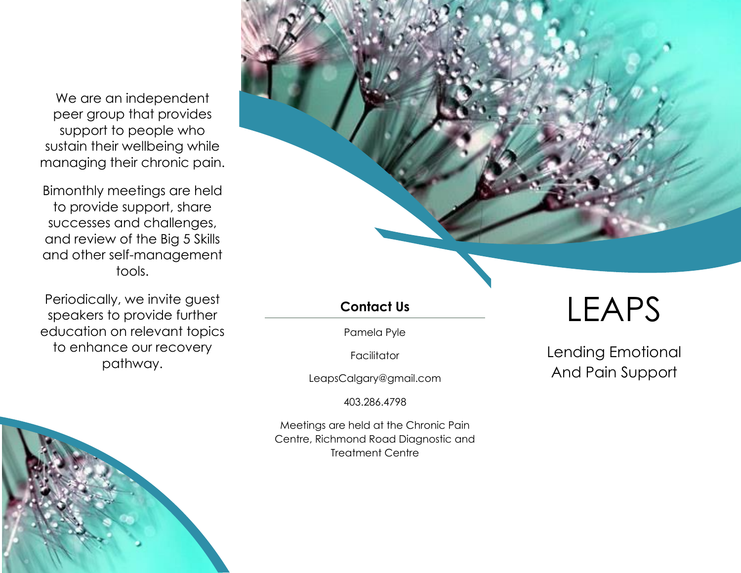We are an independent peer group that provides support to people who sustain their wellbeing while managing their chronic pain.

Bimonthly meetings are held to provide support, share successes and challenges, and review of the Big 5 Skills and other self-management tools.

Periodically, we invite guest speakers to provide further education on relevant topics to enhance our recovery pathway.



# **Contact Us**

Pamela Pyle

Facilitator

LeapsCalgary@gmail.com

403.286.4798

Meetings are held at the Chronic Pain Centre, Richmond Road Diagnostic and Treatment Centre

# LEAPS

Lending Emotional And Pain Support